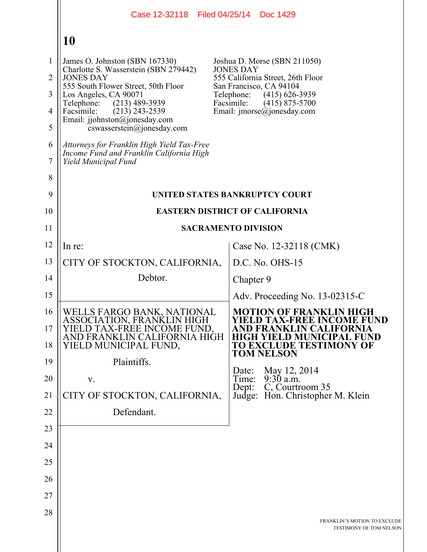|                                                                     | Case 12-32118   Filed 04/25/14   Doc 1429                                                                                                                                                                                                                                                                                                                                                                        |                                                                                                                                                                                                                                |  |  |
|---------------------------------------------------------------------|------------------------------------------------------------------------------------------------------------------------------------------------------------------------------------------------------------------------------------------------------------------------------------------------------------------------------------------------------------------------------------------------------------------|--------------------------------------------------------------------------------------------------------------------------------------------------------------------------------------------------------------------------------|--|--|
|                                                                     | 10                                                                                                                                                                                                                                                                                                                                                                                                               |                                                                                                                                                                                                                                |  |  |
| 1<br>$\overline{2}$<br>3<br>$\overline{4}$<br>5<br>6<br>$\tau$<br>8 | James O. Johnston (SBN 167330)<br>Charlotte S. Wasserstein (SBN 279442)<br><b>JONES DAY</b><br>555 South Flower Street, 50th Floor<br>Los Angeles, CA 90071<br>Telephone:<br>$(213)$ 489-3939<br>Facsimile:<br>$(213)$ 243-2539<br>Email: jjohnston@jonesday.com<br>cswasserstein@jonesday.com<br>Attorneys for Franklin High Yield Tax-Free<br>Income Fund and Franklin California High<br>Yield Municipal Fund | Joshua D. Morse (SBN 211050)<br><b>JONES DAY</b><br>555 California Street, 26th Floor<br>San Francisco, CA 94104<br>Telephone:<br>$(415)$ 626-3939<br>Facsimile:<br>$(415)$ 875-5700<br>Email: $\text{imorse}(a)$ jonesday.com |  |  |
| 9<br>10                                                             | UNITED STATES BANKRUPTCY COURT                                                                                                                                                                                                                                                                                                                                                                                   |                                                                                                                                                                                                                                |  |  |
|                                                                     | <b>EASTERN DISTRICT OF CALIFORNIA</b>                                                                                                                                                                                                                                                                                                                                                                            |                                                                                                                                                                                                                                |  |  |
| 11                                                                  |                                                                                                                                                                                                                                                                                                                                                                                                                  | <b>SACRAMENTO DIVISION</b>                                                                                                                                                                                                     |  |  |
| 12<br>13                                                            | In re:                                                                                                                                                                                                                                                                                                                                                                                                           | Case No. 12-32118 (CMK)                                                                                                                                                                                                        |  |  |
|                                                                     | CITY OF STOCKTON, CALIFORNIA,<br>Debtor.                                                                                                                                                                                                                                                                                                                                                                         | D.C. No. OHS-15                                                                                                                                                                                                                |  |  |
| 14                                                                  |                                                                                                                                                                                                                                                                                                                                                                                                                  | Chapter 9                                                                                                                                                                                                                      |  |  |
| 15                                                                  |                                                                                                                                                                                                                                                                                                                                                                                                                  | Adv. Proceeding No. $13-02315-C$                                                                                                                                                                                               |  |  |
| 16<br>17<br>18                                                      | WELLS FARGO BANK, NATIONAL<br>ASSOCIATION, FRANKLIN HIGH<br>D TAX-FREE INCOME FUND.<br>AND FRANKLIN CALIFORNIA HIGH<br>YIELD MUNICIPAL FUND,                                                                                                                                                                                                                                                                     | <b>MOTION OF FRANKLIN HIGH</b><br><b>YIELD TAX-FREE INCOME FUND</b><br><b>JD MUNICIPAL FUND</b><br>GH YIEI<br><b>TO EXCLUDE TESTIMONY OF</b><br><b>TOM NELSON</b>                                                              |  |  |
| 19                                                                  | Plaintiffs.                                                                                                                                                                                                                                                                                                                                                                                                      | May 12, 2014<br>Date:                                                                                                                                                                                                          |  |  |
| 20                                                                  | V.                                                                                                                                                                                                                                                                                                                                                                                                               | $9:30$ a.m.<br>Time:<br>C, Courtroom 35<br>Dept:                                                                                                                                                                               |  |  |
| 21                                                                  | CITY OF STOCKTON, CALIFORNIA,                                                                                                                                                                                                                                                                                                                                                                                    | Judge: Hon. Christopher M. Klein                                                                                                                                                                                               |  |  |
| 22                                                                  | Defendant.                                                                                                                                                                                                                                                                                                                                                                                                       |                                                                                                                                                                                                                                |  |  |
| 23<br>24                                                            |                                                                                                                                                                                                                                                                                                                                                                                                                  |                                                                                                                                                                                                                                |  |  |
| 25                                                                  |                                                                                                                                                                                                                                                                                                                                                                                                                  |                                                                                                                                                                                                                                |  |  |
| 26                                                                  |                                                                                                                                                                                                                                                                                                                                                                                                                  |                                                                                                                                                                                                                                |  |  |
| 27                                                                  |                                                                                                                                                                                                                                                                                                                                                                                                                  |                                                                                                                                                                                                                                |  |  |
| 28                                                                  |                                                                                                                                                                                                                                                                                                                                                                                                                  |                                                                                                                                                                                                                                |  |  |
|                                                                     |                                                                                                                                                                                                                                                                                                                                                                                                                  | FRANKLIN'S MOTION TO EXCLUDE<br>TESTIMONY OF TOM NELSON                                                                                                                                                                        |  |  |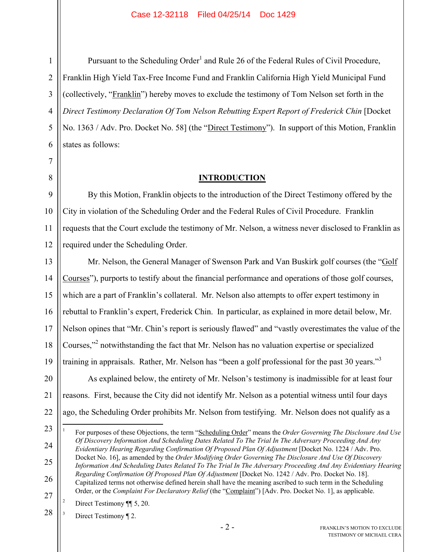Pursuant to the Scheduling Order<sup>1</sup> and Rule 26 of the Federal Rules of Civil Procedure, Franklin High Yield Tax-Free Income Fund and Franklin California High Yield Municipal Fund (collectively, "Franklin") hereby moves to exclude the testimony of Tom Nelson set forth in the *Direct Testimony Declaration Of Tom Nelson Rebutting Expert Report of Frederick Chin* [Docket No. 1363 / Adv. Pro. Docket No. 58] (the "Direct Testimony"). In support of this Motion, Franklin states as follows:

## **INTRODUCTION**

By this Motion, Franklin objects to the introduction of the Direct Testimony offered by the City in violation of the Scheduling Order and the Federal Rules of Civil Procedure. Franklin requests that the Court exclude the testimony of Mr. Nelson, a witness never disclosed to Franklin as required under the Scheduling Order.

Mr. Nelson, the General Manager of Swenson Park and Van Buskirk golf courses (the "Golf Courses"), purports to testify about the financial performance and operations of those golf courses, which are a part of Franklin's collateral. Mr. Nelson also attempts to offer expert testimony in rebuttal to Franklin's expert, Frederick Chin. In particular, as explained in more detail below, Mr. Nelson opines that "Mr. Chin's report is seriously flawed" and "vastly overestimates the value of the Courses,"<sup>2</sup> notwithstanding the fact that Mr. Nelson has no valuation expertise or specialized training in appraisals. Rather, Mr. Nelson has "been a golf professional for the past 30 years."<sup>3</sup> As explained below, the entirety of Mr. Nelson's testimony is inadmissible for at least four reasons. First, because the City did not identify Mr. Nelson as a potential witness until four days ago, the Scheduling Order prohibits Mr. Nelson from testifying. Mr. Nelson does not qualify as a

23

<u>.</u>

25

26

1 For purposes of these Objections, the term "Scheduling Order" means the *Order Governing The Disclosure And Use Of Discovery Information And Scheduling Dates Related To The Trial In The Adversary Proceeding And Any Evidentiary Hearing Regarding Confirmation Of Proposed Plan Of Adjustment* [Docket No. 1224 / Adv. Pro. Docket No. 16], as amended by the *Order Modifying Order Governing The Disclosure And Use Of Discovery Information And Scheduling Dates Related To The Trial In The Adversary Proceeding And Any Evidentiary Hearing Regarding Confirmation Of Proposed Plan Of Adjustment* [Docket No. 1242 / Adv. Pro. Docket No. 18]. Capitalized terms not otherwise defined herein shall have the meaning ascribed to such term in the Scheduling Order, or the *Complaint For Declaratory Relief* (the "Complaint") [Adv. Pro. Docket No. 1], as applicable.

27 2 Direct Testimony ¶¶ 5, 20.

28 3 Direct Testimony ¶ 2.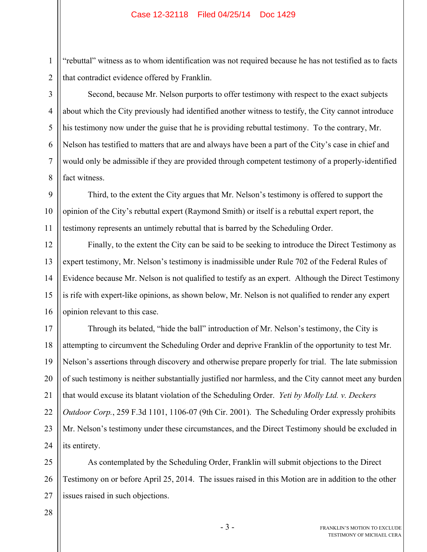"rebuttal" witness as to whom identification was not required because he has not testified as to facts that contradict evidence offered by Franklin.

Second, because Mr. Nelson purports to offer testimony with respect to the exact subjects about which the City previously had identified another witness to testify, the City cannot introduce his testimony now under the guise that he is providing rebuttal testimony. To the contrary, Mr. Nelson has testified to matters that are and always have been a part of the City's case in chief and would only be admissible if they are provided through competent testimony of a properly-identified fact witness.

9 10 11 Third, to the extent the City argues that Mr. Nelson's testimony is offered to support the opinion of the City's rebuttal expert (Raymond Smith) or itself is a rebuttal expert report, the testimony represents an untimely rebuttal that is barred by the Scheduling Order.

12 13 14 15 16 Finally, to the extent the City can be said to be seeking to introduce the Direct Testimony as expert testimony, Mr. Nelson's testimony is inadmissible under Rule 702 of the Federal Rules of Evidence because Mr. Nelson is not qualified to testify as an expert. Although the Direct Testimony is rife with expert-like opinions, as shown below, Mr. Nelson is not qualified to render any expert opinion relevant to this case.

17 18 19 20 21 22 23 24 Through its belated, "hide the ball" introduction of Mr. Nelson's testimony, the City is attempting to circumvent the Scheduling Order and deprive Franklin of the opportunity to test Mr. Nelson's assertions through discovery and otherwise prepare properly for trial. The late submission of such testimony is neither substantially justified nor harmless, and the City cannot meet any burden that would excuse its blatant violation of the Scheduling Order. *Yeti by Molly Ltd. v. Deckers Outdoor Corp.*, 259 F.3d 1101, 1106-07 (9th Cir. 2001). The Scheduling Order expressly prohibits Mr. Nelson's testimony under these circumstances, and the Direct Testimony should be excluded in its entirety.

25 26 27 As contemplated by the Scheduling Order, Franklin will submit objections to the Direct Testimony on or before April 25, 2014. The issues raised in this Motion are in addition to the other issues raised in such objections.

1

2

3

4

5

6

7

8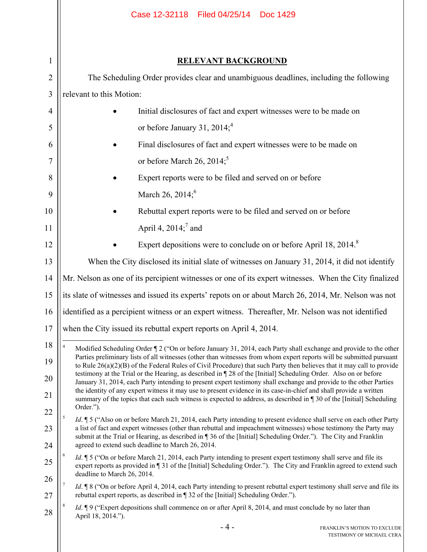|                | Case 12-32118   Filed 04/25/14   Doc 1429                                                                                                                                                                                                                                                                                                                                                                                                                                                 |  |  |  |  |  |
|----------------|-------------------------------------------------------------------------------------------------------------------------------------------------------------------------------------------------------------------------------------------------------------------------------------------------------------------------------------------------------------------------------------------------------------------------------------------------------------------------------------------|--|--|--|--|--|
|                |                                                                                                                                                                                                                                                                                                                                                                                                                                                                                           |  |  |  |  |  |
| $\mathbf{1}$   | <b>RELEVANT BACKGROUND</b>                                                                                                                                                                                                                                                                                                                                                                                                                                                                |  |  |  |  |  |
| $\overline{2}$ | The Scheduling Order provides clear and unambiguous deadlines, including the following                                                                                                                                                                                                                                                                                                                                                                                                    |  |  |  |  |  |
| 3              | relevant to this Motion:                                                                                                                                                                                                                                                                                                                                                                                                                                                                  |  |  |  |  |  |
| 4              | Initial disclosures of fact and expert witnesses were to be made on                                                                                                                                                                                                                                                                                                                                                                                                                       |  |  |  |  |  |
| 5              | or before January 31, 2014; <sup>4</sup>                                                                                                                                                                                                                                                                                                                                                                                                                                                  |  |  |  |  |  |
| 6              | Final disclosures of fact and expert witnesses were to be made on                                                                                                                                                                                                                                                                                                                                                                                                                         |  |  |  |  |  |
| 7              | or before March 26, 2014; <sup>5</sup>                                                                                                                                                                                                                                                                                                                                                                                                                                                    |  |  |  |  |  |
| 8              | Expert reports were to be filed and served on or before                                                                                                                                                                                                                                                                                                                                                                                                                                   |  |  |  |  |  |
| 9              | March 26, 2014; <sup>6</sup>                                                                                                                                                                                                                                                                                                                                                                                                                                                              |  |  |  |  |  |
| 10             | Rebuttal expert reports were to be filed and served on or before                                                                                                                                                                                                                                                                                                                                                                                                                          |  |  |  |  |  |
| 11             | April 4, $2014$ ; and                                                                                                                                                                                                                                                                                                                                                                                                                                                                     |  |  |  |  |  |
| 12             | Expert depositions were to conclude on or before April 18, 2014. <sup>8</sup>                                                                                                                                                                                                                                                                                                                                                                                                             |  |  |  |  |  |
| 13             | When the City disclosed its initial slate of witnesses on January 31, 2014, it did not identify                                                                                                                                                                                                                                                                                                                                                                                           |  |  |  |  |  |
| 14             | Mr. Nelson as one of its percipient witnesses or one of its expert witnesses. When the City finalized                                                                                                                                                                                                                                                                                                                                                                                     |  |  |  |  |  |
| 15             | its slate of witnesses and issued its experts' repots on or about March 26, 2014, Mr. Nelson was not                                                                                                                                                                                                                                                                                                                                                                                      |  |  |  |  |  |
| 16             | dentified as a percipient witness or an expert witness. Thereafter, Mr. Nelson was not identified                                                                                                                                                                                                                                                                                                                                                                                         |  |  |  |  |  |
| 17             | when the City issued its rebuttal expert reports on April 4, 2014.                                                                                                                                                                                                                                                                                                                                                                                                                        |  |  |  |  |  |
| 18             | $\overline{4}$<br>Modified Scheduling Order ¶ 2 ("On or before January 31, 2014, each Party shall exchange and provide to the other                                                                                                                                                                                                                                                                                                                                                       |  |  |  |  |  |
| 19             | Parties preliminary lists of all witnesses (other than witnesses from whom expert reports will be submitted pursuant<br>to Rule $26(a)(2)(B)$ of the Federal Rules of Civil Procedure) that such Party then believes that it may call to provide<br>testimony at the Trial or the Hearing, as described in 128 of the [Initial] Scheduling Order. Also on or before<br>January 31, 2014, each Party intending to present expert testimony shall exchange and provide to the other Parties |  |  |  |  |  |
| 20             |                                                                                                                                                                                                                                                                                                                                                                                                                                                                                           |  |  |  |  |  |
| 21             | the identity of any expert witness it may use to present evidence in its case-in-chief and shall provide a written<br>summary of the topics that each such witness is expected to address, as described in 130 of the [Initial] Scheduling                                                                                                                                                                                                                                                |  |  |  |  |  |
| 22             | Order.").<br>5<br><i>Id.</i> 15 ("Also on or before March 21, 2014, each Party intending to present evidence shall serve on each other Party<br>a list of fact and expert witnesses (other than rebuttal and impeachment witnesses) whose testimony the Party may<br>submit at the Trial or Hearing, as described in 136 of the [Initial] Scheduling Order."). The City and Franklin                                                                                                      |  |  |  |  |  |
| 23             |                                                                                                                                                                                                                                                                                                                                                                                                                                                                                           |  |  |  |  |  |
| 24             | agreed to extend such deadline to March 26, 2014.<br>6                                                                                                                                                                                                                                                                                                                                                                                                                                    |  |  |  |  |  |
| 25             | <i>Id.</i> 15 ("On or before March 21, 2014, each Party intending to present expert testimony shall serve and file its<br>expert reports as provided in 131 of the [Initial] Scheduling Order."). The City and Franklin agreed to extend such<br>deadline to March 26, 2014.                                                                                                                                                                                                              |  |  |  |  |  |
| 26             | $\overline{7}$<br><i>Id.</i> 18 ("On or before April 4, 2014, each Party intending to present rebuttal expert testimony shall serve and file its                                                                                                                                                                                                                                                                                                                                          |  |  |  |  |  |
| 27             | rebuttal expert reports, as described in ¶ 32 of the [Initial] Scheduling Order.").<br><i>Id.</i> 19 ("Expert depositions shall commence on or after April 8, 2014, and must conclude by no later than                                                                                                                                                                                                                                                                                    |  |  |  |  |  |
| 28             | April 18, 2014.").<br>- 4 -<br>FRANKLIN'S MOTION TO EXCLUDE                                                                                                                                                                                                                                                                                                                                                                                                                               |  |  |  |  |  |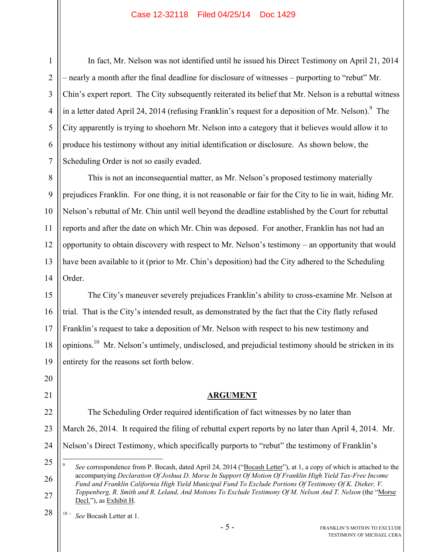In fact, Mr. Nelson was not identified until he issued his Direct Testimony on April 21, 2014 – nearly a month after the final deadline for disclosure of witnesses – purporting to "rebut" Mr. Chin's expert report. The City subsequently reiterated its belief that Mr. Nelson is a rebuttal witness in a letter dated April 24, 2014 (refusing Franklin's request for a deposition of Mr. Nelson). <sup>9</sup> The City apparently is trying to shoehorn Mr. Nelson into a category that it believes would allow it to produce his testimony without any initial identification or disclosure. As shown below, the Scheduling Order is not so easily evaded.

10 12 13 14 This is not an inconsequential matter, as Mr. Nelson's proposed testimony materially prejudices Franklin. For one thing, it is not reasonable or fair for the City to lie in wait, hiding Mr. Nelson's rebuttal of Mr. Chin until well beyond the deadline established by the Court for rebuttal reports and after the date on which Mr. Chin was deposed. For another, Franklin has not had an opportunity to obtain discovery with respect to Mr. Nelson's testimony – an opportunity that would have been available to it (prior to Mr. Chin's deposition) had the City adhered to the Scheduling Order.

15 16 17 18 19 The City's maneuver severely prejudices Franklin's ability to cross-examine Mr. Nelson at trial. That is the City's intended result, as demonstrated by the fact that the City flatly refused Franklin's request to take a deposition of Mr. Nelson with respect to his new testimony and opinions.10 Mr. Nelson's untimely, undisclosed, and prejudicial testimony should be stricken in its entirety for the reasons set forth below.

# **ARGUMENT**

22 23 24 The Scheduling Order required identification of fact witnesses by no later than March 26, 2014. It required the filing of rebuttal expert reports by no later than April 4, 2014. Mr. Nelson's Direct Testimony, which specifically purports to "rebut" the testimony of Franklin's

28 10 ` *See* Bocash Letter at 1.

1

2

3

4

5

6

7

8

9

11

20

21

<sup>25</sup> 26 27  $\overline{a}$ 9 *See* correspondence from P. Bocash, dated April 24, 2014 ("Bocash Letter"), at 1, a copy of which is attached to the accompanying *Declaration Of Joshua D. Morse In Support Of Motion Of Franklin High Yield Tax-Free Income Fund and Franklin California High Yield Municipal Fund To Exclude Portions Of Testimony Of K. Dieker, V. Toppenberg, R. Smith and R. Leland, And Motions To Exclude Testimony Of M. Nelson And T. Nelson* (the "Morse Decl."), as Exhibit H.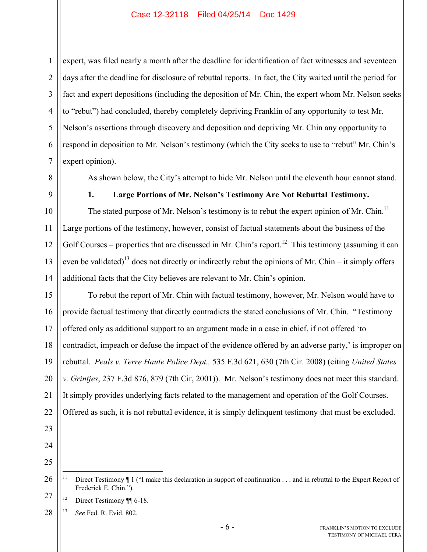2 3 4 5 6 7 expert, was filed nearly a month after the deadline for identification of fact witnesses and seventeen days after the deadline for disclosure of rebuttal reports. In fact, the City waited until the period for fact and expert depositions (including the deposition of Mr. Chin, the expert whom Mr. Nelson seeks to "rebut") had concluded, thereby completely depriving Franklin of any opportunity to test Mr. Nelson's assertions through discovery and deposition and depriving Mr. Chin any opportunity to respond in deposition to Mr. Nelson's testimony (which the City seeks to use to "rebut" Mr. Chin's expert opinion).

As shown below, the City's attempt to hide Mr. Nelson until the eleventh hour cannot stand.

8

9

10

11

12

13

14

1

**1. Large Portions of Mr. Nelson's Testimony Are Not Rebuttal Testimony.** 

The stated purpose of Mr. Nelson's testimony is to rebut the expert opinion of Mr. Chin.<sup>11</sup> Large portions of the testimony, however, consist of factual statements about the business of the Golf Courses – properties that are discussed in Mr. Chin's report.<sup>12</sup> This testimony (assuming it can even be validated)<sup>13</sup> does not directly or indirectly rebut the opinions of Mr. Chin – it simply offers additional facts that the City believes are relevant to Mr. Chin's opinion.

15 16 17 18 19 20 21 22 To rebut the report of Mr. Chin with factual testimony, however, Mr. Nelson would have to provide factual testimony that directly contradicts the stated conclusions of Mr. Chin. "Testimony offered only as additional support to an argument made in a case in chief, if not offered 'to contradict, impeach or defuse the impact of the evidence offered by an adverse party,' is improper on rebuttal. *Peals v. Terre Haute Police Dept.,* 535 F.3d 621, 630 (7th Cir. 2008) (citing *United States v. Grintjes*, 237 F.3d 876, 879 (7th Cir, 2001)). Mr. Nelson's testimony does not meet this standard. It simply provides underlying facts related to the management and operation of the Golf Courses. Offered as such, it is not rebuttal evidence, it is simply delinquent testimony that must be excluded.

- 23 24
- 25

<sup>26</sup> 27  $\overline{11}$ Direct Testimony ¶ 1 ("I make this declaration in support of confirmation . . . and in rebuttal to the Expert Report of Frederick E. Chin.").

<sup>&</sup>lt;sup>12</sup> Direct Testimony ¶¶ 6-18.

<sup>28</sup> 13 *See* Fed. R. Evid. 802.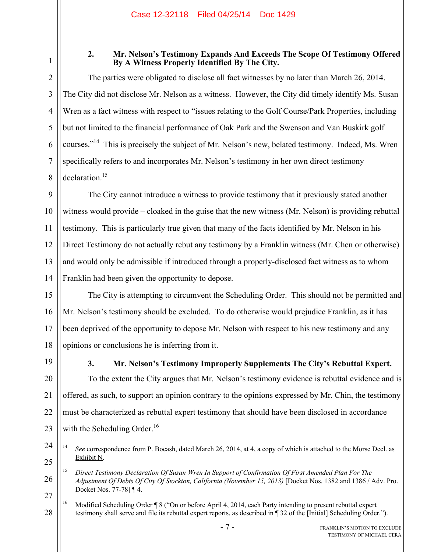1

2

3

4

5

6

7

8

# **2. Mr. Nelson's Testimony Expands And Exceeds The Scope Of Testimony Offered By A Witness Properly Identified By The City.**

The parties were obligated to disclose all fact witnesses by no later than March 26, 2014. The City did not disclose Mr. Nelson as a witness. However, the City did timely identify Ms. Susan Wren as a fact witness with respect to "issues relating to the Golf Course/Park Properties, including but not limited to the financial performance of Oak Park and the Swenson and Van Buskirk golf courses."<sup>14</sup> This is precisely the subject of Mr. Nelson's new, belated testimony. Indeed, Ms. Wren specifically refers to and incorporates Mr. Nelson's testimony in her own direct testimony declaration.<sup>15</sup>

9 10 11 12 13 14 The City cannot introduce a witness to provide testimony that it previously stated another witness would provide – cloaked in the guise that the new witness (Mr. Nelson) is providing rebuttal testimony. This is particularly true given that many of the facts identified by Mr. Nelson in his Direct Testimony do not actually rebut any testimony by a Franklin witness (Mr. Chen or otherwise) and would only be admissible if introduced through a properly-disclosed fact witness as to whom Franklin had been given the opportunity to depose.

15 16 17 18 The City is attempting to circumvent the Scheduling Order. This should not be permitted and Mr. Nelson's testimony should be excluded. To do otherwise would prejudice Franklin, as it has been deprived of the opportunity to depose Mr. Nelson with respect to his new testimony and any opinions or conclusions he is inferring from it.

19

21

23

**3. Mr. Nelson's Testimony Improperly Supplements The City's Rebuttal Expert.** 

20 22 To the extent the City argues that Mr. Nelson's testimony evidence is rebuttal evidence and is offered, as such, to support an opinion contrary to the opinions expressed by Mr. Chin, the testimony must be characterized as rebuttal expert testimony that should have been disclosed in accordance with the Scheduling Order.<sup>16</sup>

<sup>24</sup> 25  $14$ 14 *See* correspondence from P. Bocash, dated March 26, 2014, at 4, a copy of which is attached to the Morse Decl. as Exhibit N.

<sup>26</sup> 27 15 *Direct Testimony Declaration Of Susan Wren In Support of Confirmation Of First Amended Plan For The Adjustment Of Debts Of City Of Stockton, California (November 15, 2013)* [Docket Nos. 1382 and 1386 / Adv. Pro. Docket Nos. 77-78] ¶ 4.

<sup>28</sup> <sup>16</sup> Modified Scheduling Order ¶ 8 ("On or before April 4, 2014, each Party intending to present rebuttal expert testimony shall serve and file its rebuttal expert reports, as described in ¶ 32 of the [Initial] Scheduling Order.").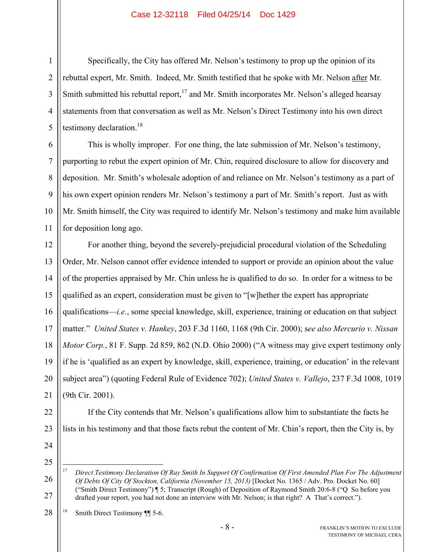Specifically, the City has offered Mr. Nelson's testimony to prop up the opinion of its rebuttal expert, Mr. Smith. Indeed, Mr. Smith testified that he spoke with Mr. Nelson after Mr. Smith submitted his rebuttal report,<sup>17</sup> and Mr. Smith incorporates Mr. Nelson's alleged hearsay statements from that conversation as well as Mr. Nelson's Direct Testimony into his own direct testimony declaration. $18$ 

This is wholly improper. For one thing, the late submission of Mr. Nelson's testimony, purporting to rebut the expert opinion of Mr. Chin, required disclosure to allow for discovery and deposition. Mr. Smith's wholesale adoption of and reliance on Mr. Nelson's testimony as a part of his own expert opinion renders Mr. Nelson's testimony a part of Mr. Smith's report. Just as with Mr. Smith himself, the City was required to identify Mr. Nelson's testimony and make him available for deposition long ago.

12 13 14 15 16 17 18 19 20 21 For another thing, beyond the severely-prejudicial procedural violation of the Scheduling Order, Mr. Nelson cannot offer evidence intended to support or provide an opinion about the value of the properties appraised by Mr. Chin unless he is qualified to do so. In order for a witness to be qualified as an expert, consideration must be given to "[w]hether the expert has appropriate qualifications—*i.e.*, some special knowledge, skill, experience, training or education on that subject matter." *United States v. Hankey*, 203 F.3d 1160, 1168 (9th Cir. 2000); s*ee also Mercurio v. Nissan Motor Corp.*, 81 F. Supp. 2d 859, 862 (N.D. Ohio 2000) ("A witness may give expert testimony only if he is 'qualified as an expert by knowledge, skill, experience, training, or education' in the relevant subject area") (quoting Federal Rule of Evidence 702); *United States v. Vallejo*, 237 F.3d 1008, 1019 (9th Cir. 2001).

22 23

1

2

3

4

5

6

7

8

9

10

11

24

25

26 27  $17$ <sup>17</sup> *Direct Testimony Declaration Of Ray Smith In Support Of Confirmation Of First Amended Plan For The Adjustment Of Debts Of City Of Stockton, California (November 15, 2013)* [Docket No. 1365 / Adv. Pro. Docket No. 60] ("Smith Direct Testimony") ¶ 5; Transcript (Rough) of Deposition of Raymond Smith 20:6-8 ("Q So before you drafted your report, you had not done an interview with Mr. Nelson; is that right? A That's correct.").

lists in his testimony and that those facts rebut the content of Mr. Chin's report, then the City is, by

If the City contends that Mr. Nelson's qualifications allow him to substantiate the facts he

28 18 Smith Direct Testimony ¶¶ 5-6.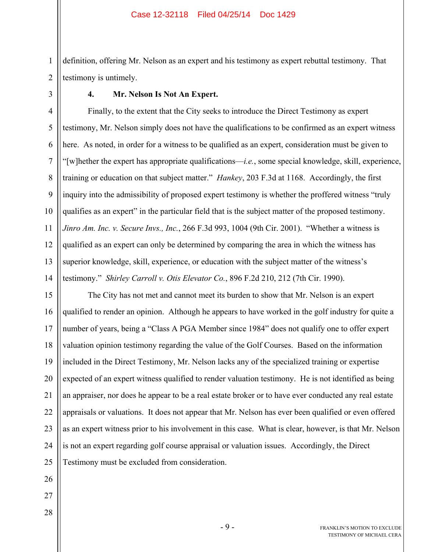2 definition, offering Mr. Nelson as an expert and his testimony as expert rebuttal testimony. That testimony is untimely.

1

3

## **4. Mr. Nelson Is Not An Expert.**

4 5 6 7 8 9 10 11 12 13 14 Finally, to the extent that the City seeks to introduce the Direct Testimony as expert testimony, Mr. Nelson simply does not have the qualifications to be confirmed as an expert witness here. As noted, in order for a witness to be qualified as an expert, consideration must be given to "[w]hether the expert has appropriate qualifications—*i.e.*, some special knowledge, skill, experience, training or education on that subject matter." *Hankey*, 203 F.3d at 1168. Accordingly, the first inquiry into the admissibility of proposed expert testimony is whether the proffered witness "truly qualifies as an expert" in the particular field that is the subject matter of the proposed testimony. *Jinro Am. Inc. v. Secure Invs., Inc.*, 266 F.3d 993, 1004 (9th Cir. 2001). "Whether a witness is qualified as an expert can only be determined by comparing the area in which the witness has superior knowledge, skill, experience, or education with the subject matter of the witness's testimony." *Shirley Carroll v. Otis Elevator Co.*, 896 F.2d 210, 212 (7th Cir. 1990).

15 16 17 18 19 20 21 22 23 24 25 The City has not met and cannot meet its burden to show that Mr. Nelson is an expert qualified to render an opinion. Although he appears to have worked in the golf industry for quite a number of years, being a "Class A PGA Member since 1984" does not qualify one to offer expert valuation opinion testimony regarding the value of the Golf Courses. Based on the information included in the Direct Testimony, Mr. Nelson lacks any of the specialized training or expertise expected of an expert witness qualified to render valuation testimony. He is not identified as being an appraiser, nor does he appear to be a real estate broker or to have ever conducted any real estate appraisals or valuations. It does not appear that Mr. Nelson has ever been qualified or even offered as an expert witness prior to his involvement in this case. What is clear, however, is that Mr. Nelson is not an expert regarding golf course appraisal or valuation issues. Accordingly, the Direct Testimony must be excluded from consideration.

26